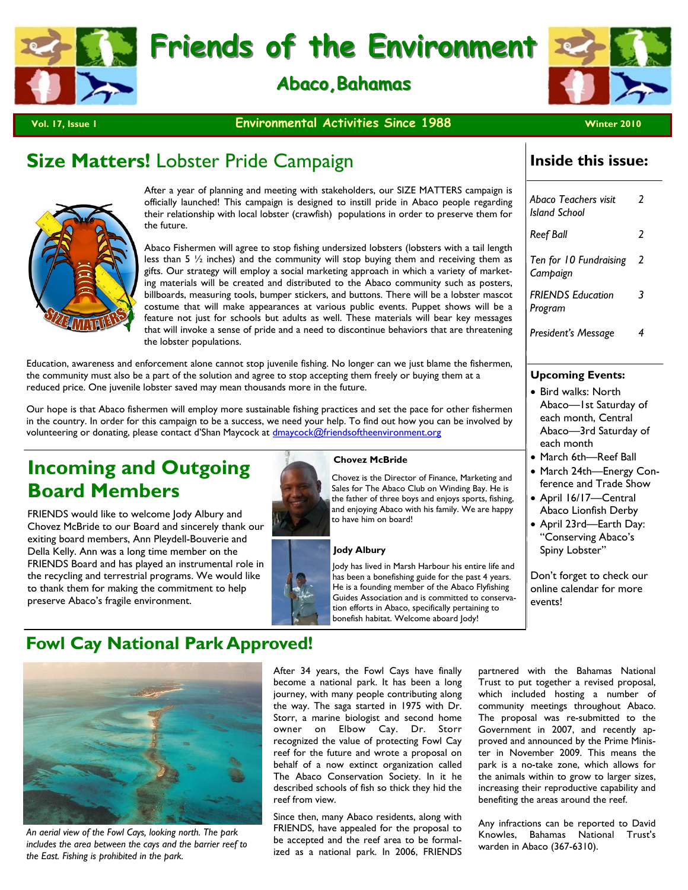



**Vol. 17, Issue 1 Winter 2010 Environmental Activities Since 1988 Winter 2010** 

# **Size Matters!** Lobster Pride Campaign



After a year of planning and meeting with stakeholders, our SIZE MATTERS campaign is officially launched! This campaign is designed to instill pride in Abaco people regarding their relationship with local lobster (crawfish) populations in order to preserve them for the future.

Abaco Fishermen will agree to stop fishing undersized lobsters (lobsters with a tail length less than 5 ½ inches) and the community will stop buying them and receiving them as gifts. Our strategy will employ a social marketing approach in which a variety of marketing materials will be created and distributed to the Abaco community such as posters, billboards, measuring tools, bumper stickers, and buttons. There will be a lobster mascot costume that will make appearances at various public events. Puppet shows will be a feature not just for schools but adults as well. These materials will bear key messages that will invoke a sense of pride and a need to discontinue behaviors that are threatening the lobster populations.

Education, awareness and enforcement alone cannot stop juvenile fishing. No longer can we just blame the fishermen, the community must also be a part of the solution and agree to stop accepting them freely or buying them at a reduced price. One juvenile lobster saved may mean thousands more in the future.

Our hope is that Abaco fishermen will employ more sustainable fishing practices and set the pace for other fishermen in the country. In order for this campaign to be a success, we need your help. To find out how you can be involved by volunteering or donating, please contact d'Shan Maycock at dmaycock@friendsoftheenvironment.org

# **Incoming and Outgoing Board Members**

FRIENDS would like to welcome Jody Albury and Chovez McBride to our Board and sincerely thank our exiting board members, Ann Pleydell-Bouverie and Della Kelly. Ann was a long time member on the FRIENDS Board and has played an instrumental role in the recycling and terrestrial programs. We would like to thank them for making the commitment to help preserve Abaco's fragile environment.



**Chovez McBride** 

Chovez is the Director of Finance, Marketing and Sales for The Abaco Club on Winding Bay. He is the father of three boys and enjoys sports, fishing, and enjoying Abaco with his family. We are happy to have him on board!

## **Jody Albury**

Jody has lived in Marsh Harbour his entire life and has been a bonefishing guide for the past 4 years. He is a founding member of the Abaco Flyfishing Guides Association and is committed to conservation efforts in Abaco, specifically pertaining to bonefish habitat. Welcome aboard Jody!

## **Inside this issue:**

| Abaco Teachers visit<br><b>Island School</b> | 2                        |
|----------------------------------------------|--------------------------|
| Reef Ball                                    | $\overline{\phantom{a}}$ |
| Ten for 10 Fundraising<br>Campaign           | 2                        |
| <b>FRIENDS Education</b><br>Program          | 3                        |
| President's Message                          | 4                        |
|                                              |                          |

## **Upcoming Events:**

- Bird walks: North Abaco—1st Saturday of each month, Central Abaco—3rd Saturday of each month
- March 6th—Reef Ball
- March 24th—Energy Conference and Trade Show
- April 16/17—Central Abaco Lionfish Derby
- April 23rd—Earth Day: "Conserving Abaco's Spiny Lobster"

Don't forget to check our online calendar for more events!

# **Fowl Cay National Park Approved!**



*An aerial view of the Fowl Cays, looking north. The park includes the area between the cays and the barrier reef to the East. Fishing is prohibited in the park.* 

After 34 years, the Fowl Cays have finally become a national park. It has been a long journey, with many people contributing along the way. The saga started in 1975 with Dr. Storr, a marine biologist and second home owner on Elbow Cay. Dr. Storr recognized the value of protecting Fowl Cay reef for the future and wrote a proposal on behalf of a now extinct organization called The Abaco Conservation Society. In it he described schools of fish so thick they hid the reef from view.

Since then, many Abaco residents, along with FRIENDS, have appealed for the proposal to be accepted and the reef area to be formalized as a national park. In 2006, FRIENDS

partnered with the Bahamas National Trust to put together a revised proposal, which included hosting a number of community meetings throughout Abaco. The proposal was re-submitted to the Government in 2007, and recently approved and announced by the Prime Minister in November 2009. This means the park is a no-take zone, which allows for the animals within to grow to larger sizes, increasing their reproductive capability and benefiting the areas around the reef.

Any infractions can be reported to David Knowles, Bahamas National Trust's warden in Abaco (367-6310).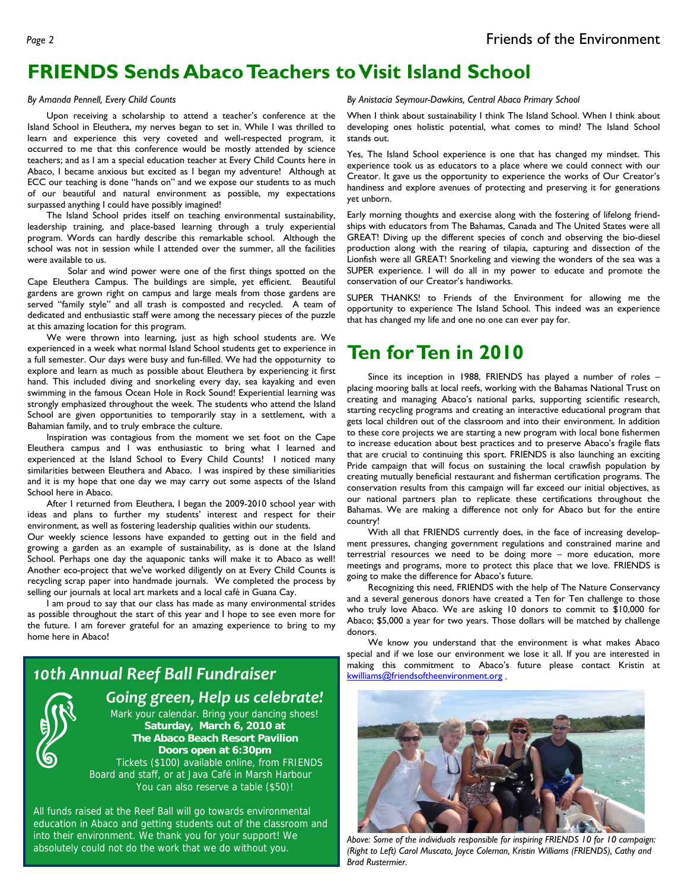# **FRIENDS Sends Abaco Teachers to Visit Island School**

## *By Amanda Pennell, Every Child Counts*

Upon receiving a scholarship to attend a teacher's conference at the Island School in Eleuthera, my nerves began to set in. While I was thrilled to learn and experience this very coveted and well-respected program, it occurred to me that this conference would be mostly attended by science teachers; and as I am a special education teacher at Every Child Counts here in Abaco, I became anxious but excited as I began my adventure! Although at ECC our teaching is done "hands on" and we expose our students to as much of our beautiful and natural environment as possible, my expectations surpassed anything I could have possibly imagined!

 The Island School prides itself on teaching environmental sustainability, leadership training, and place-based learning through a truly experiential program. Words can hardly describe this remarkable school. Although the school was not in session while I attended over the summer, all the facilities were available to us.

Solar and wind power were one of the first things spotted on the Cape Eleuthera Campus. The buildings are simple, yet efficient. Beautiful gardens are grown right on campus and large meals from those gardens are served "family style" and all trash is composted and recycled. A team of dedicated and enthusiastic staff were among the necessary pieces of the puzzle at this amazing location for this program.

 We were thrown into learning, just as high school students are. We experienced in a week what normal Island School students get to experience in a full semester. Our days were busy and fun-filled. We had the oppoturnity to explore and learn as much as possible about Eleuthera by experiencing it first hand. This included diving and snorkeling every day, sea kayaking and even swimming in the famous Ocean Hole in Rock Sound! Experiential learning was strongly emphasized throughout the week. The students who attend the Island School are given opportunities to temporarily stay in a settlement, with a Bahamian family, and to truly embrace the culture.

 Inspiration was contagious from the moment we set foot on the Cape Eleuthera campus and I was enthusiastic to bring what I learned and experienced at the Island School to Every Child Counts! I noticed many similarities between Eleuthera and Abaco. I was inspired by these similiarities and it is my hope that one day we may carry out some aspects of the Island School here in Abaco.

 After I returned from Eleuthera, I began the 2009-2010 school year with ideas and plans to further my students' interest and respect for their environment, as well as fostering leadership qualities within our students.

Our weekly science lessons have expanded to getting out in the field and growing a garden as an example of sustainability, as is done at the Island School. Perhaps one day the aquaponic tanks will make it to Abaco as well! Another eco-project that we've worked diligently on at Every Child Counts is recycling scrap paper into handmade journals. We completed the process by selling our journals at local art markets and a local café in Guana Cay.

 I am proud to say that our class has made as many environmental strides as possible throughout the start of this year and I hope to see even more for the future. I am forever grateful for an amazing experience to bring to my home here in Abaco!

# *10th Annual Reef Ball Fundraiser*

 *Going green, Help us celebrate!* Mark your calendar. Bring your dancing shoes! **Saturday, March 6, 2010 at The Abaco Beach Resort Pavilion Doors open at 6:30pm**  Tickets (\$100) available online, from FRIENDS Board and staff, or at Java Café in Marsh Harbour You can also reserve a table (\$50)!

All funds raised at the Reef Ball will go towards environmental education in Abaco and getting students out of the classroom and into their environment. We thank you for your support! We absolutely could not do the work that we do without you. *Above: Some of the individuals responsible for inspiring FRIENDS 10 for 10 campaign:* 

*By Anistacia Seymour-Dawkins, Central Abaco Primary School* 

When I think about sustainability I think The Island School. When I think about developing ones holistic potential, what comes to mind? The Island School stands out.

Yes, The Island School experience is one that has changed my mindset. This experience took us as educators to a place where we could connect with our Creator. It gave us the opportunity to experience the works of Our Creator's handiness and explore avenues of protecting and preserving it for generations yet unborn.

Early morning thoughts and exercise along with the fostering of lifelong friendships with educators from The Bahamas, Canada and The United States were all GREAT! Diving up the different species of conch and observing the bio-diesel production along with the rearing of tilapia, capturing and dissection of the Lionfish were all GREAT! Snorkeling and viewing the wonders of the sea was a SUPER experience. I will do all in my power to educate and promote the conservation of our Creator's handiworks.

SUPER THANKS! to Friends of the Environment for allowing me the opportunity to experience The Island School. This indeed was an experience that has changed my life and one no one can ever pay for.

# **Ten for Ten in 2010**

 Since its inception in 1988, FRIENDS has played a number of roles – placing mooring balls at local reefs, working with the Bahamas National Trust on creating and managing Abaco's national parks, supporting scientific research, starting recycling programs and creating an interactive educational program that gets local children out of the classroom and into their environment. In addition to these core projects we are starting a new program with local bone fishermen to increase education about best practices and to preserve Abaco's fragile flats that are crucial to continuing this sport. FRIENDS is also launching an exciting Pride campaign that will focus on sustaining the local crawfish population by creating mutually beneficial restaurant and fisherman certification programs. The conservation results from this campaign will far exceed our initial objectives, as our national partners plan to replicate these certifications throughout the Bahamas. We are making a difference not only for Abaco but for the entire country!

 With all that FRIENDS currently does, in the face of increasing development pressures, changing government regulations and constrained marine and terrestrial resources we need to be doing more – more education, more meetings and programs, more to protect this place that we love. FRIENDS is going to make the difference for Abaco's future.

 Recognizing this need, FRIENDS with the help of The Nature Conservancy and a several generous donors have created a Ten for Ten challenge to those who truly love Abaco. We are asking 10 donors to commit to \$10,000 for Abaco; \$5,000 a year for two years. Those dollars will be matched by challenge donors.

 We know you understand that the environment is what makes Abaco special and if we lose our environment we lose it all. If you are interested in making this commitment to Abaco's future please contact Kristin at kwilliams@friendsoftheenvironment.org .



*(Right to Left) Carol Muscato, Joyce Coleman, Kristin Williams (FRIENDS), Cathy and Brad Rustermier.*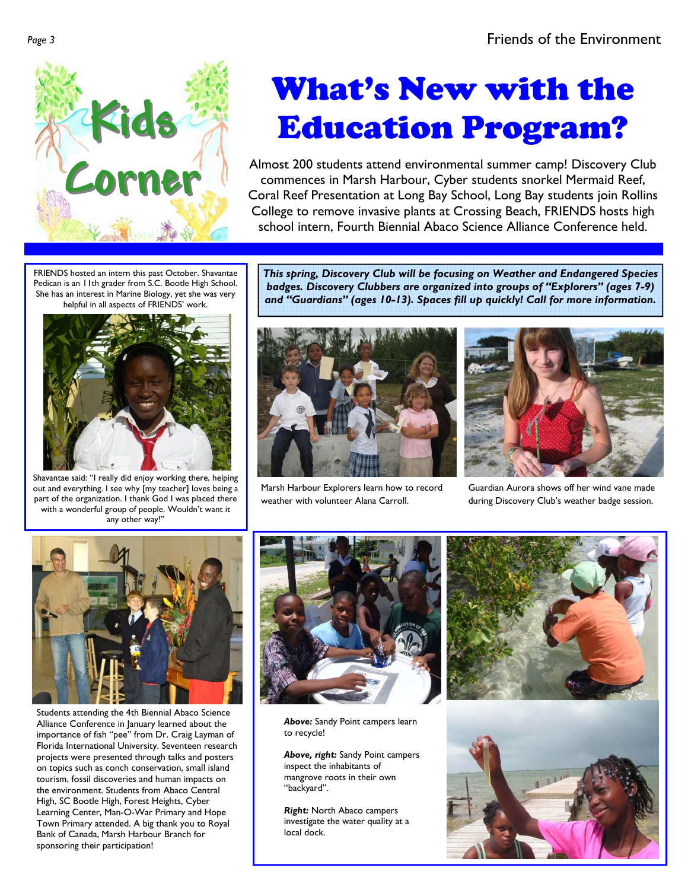

# What's New with the Education Program?

Almost 200 students attend environmental summer camp! Discovery Club commences in Marsh Harbour, Cyber students snorkel Mermaid Reef, Coral Reef Presentation at Long Bay School, Long Bay students join Rollins College to remove invasive plants at Crossing Beach, FRIENDS hosts high school intern, Fourth Biennial Abaco Science Alliance Conference held.

FRIENDS hosted an intern this past October. Shavantae Pedican is an 11th grader from S.C. Bootle High School. She has an interest in Marine Biology, yet she was very helpful in all aspects of FRIENDS' work.



Shavantae said: "I really did enjoy working there, helping out and everything. I see why [my teacher] loves being a part of the organization. I thank God I was placed there with a wonderful group of people. Wouldn't want it any other way!"

*This spring, Discovery Club will be focusing on Weather and Endangered Species badges. Discovery Clubbers are organized into groups of "Explorers" (ages 7-9) and "Guardians" (ages 10-13). Spaces fill up quickly! Call for more information.* 



Marsh Harbour Explorers learn how to record weather with volunteer Alana Carroll.



Guardian Aurora shows off her wind vane made during Discovery Club's weather badge session.



Students attending the 4th Biennial Abaco Science Alliance Conference in January learned about the importance of fish "pee" from Dr. Craig Layman of Florida International University. Seventeen research projects were presented through talks and posters on topics such as conch conservation, small island tourism, fossil discoveries and human impacts on the environment. Students from Abaco Central High, SC Bootle High, Forest Heights, Cyber Learning Center, Man-O-War Primary and Hope Town Primary attended. A big thank you to Royal Bank of Canada, Marsh Harbour Branch for sponsoring their participation!



*Above:* Sandy Point campers learn to recycle!

*Above, right:* Sandy Point campers inspect the inhabitants of mangrove roots in their own "backyard".

*Right:* North Abaco campers investigate the water quality at a local dock.